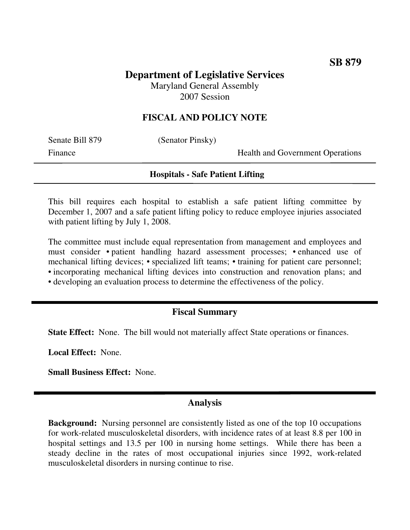# **Department of Legislative Services** Maryland General Assembly 2007 Session

### **FISCAL AND POLICY NOTE**

Senate Bill 879 (Senator Pinsky)

Finance Health and Government Operations

#### **Hospitals - Safe Patient Lifting**

This bill requires each hospital to establish a safe patient lifting committee by December 1, 2007 and a safe patient lifting policy to reduce employee injuries associated with patient lifting by July 1, 2008.

The committee must include equal representation from management and employees and must consider • patient handling hazard assessment processes; • enhanced use of mechanical lifting devices; • specialized lift teams; • training for patient care personnel; • incorporating mechanical lifting devices into construction and renovation plans; and

• developing an evaluation process to determine the effectiveness of the policy.

### **Fiscal Summary**

**State Effect:** None. The bill would not materially affect State operations or finances.

**Local Effect:** None.

**Small Business Effect:** None.

### **Analysis**

**Background:** Nursing personnel are consistently listed as one of the top 10 occupations for work-related musculoskeletal disorders, with incidence rates of at least 8.8 per 100 in hospital settings and 13.5 per 100 in nursing home settings. While there has been a steady decline in the rates of most occupational injuries since 1992, work-related musculoskeletal disorders in nursing continue to rise.